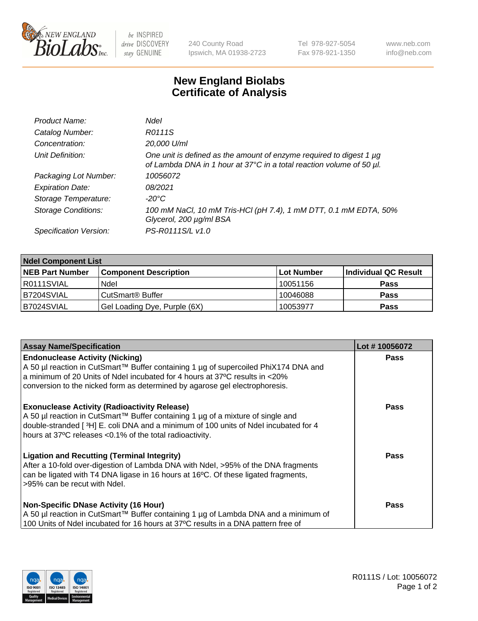

 $be$  INSPIRED drive DISCOVERY stay GENUINE

240 County Road Ipswich, MA 01938-2723 Tel 978-927-5054 Fax 978-921-1350 www.neb.com info@neb.com

## **New England Biolabs Certificate of Analysis**

| Product Name:              | Ndel                                                                                                                                             |
|----------------------------|--------------------------------------------------------------------------------------------------------------------------------------------------|
| Catalog Number:            | R0111S                                                                                                                                           |
| Concentration:             | 20,000 U/ml                                                                                                                                      |
| Unit Definition:           | One unit is defined as the amount of enzyme required to digest 1 $\mu$ g<br>of Lambda DNA in 1 hour at 37°C in a total reaction volume of 50 µl. |
| Packaging Lot Number:      | 10056072                                                                                                                                         |
| <b>Expiration Date:</b>    | 08/2021                                                                                                                                          |
| Storage Temperature:       | $-20^{\circ}$ C                                                                                                                                  |
| <b>Storage Conditions:</b> | 100 mM NaCl, 10 mM Tris-HCl (pH 7.4), 1 mM DTT, 0.1 mM EDTA, 50%<br>Glycerol, 200 µg/ml BSA                                                      |
| Specification Version:     | PS-R0111S/L v1.0                                                                                                                                 |

| <b>Ndel Component List</b> |                              |            |                      |  |  |
|----------------------------|------------------------------|------------|----------------------|--|--|
| <b>NEB Part Number</b>     | <b>Component Description</b> | Lot Number | Individual QC Result |  |  |
| R0111SVIAL                 | Ndel                         | 10051156   | <b>Pass</b>          |  |  |
| B7204SVIAL                 | CutSmart <sup>®</sup> Buffer | 10046088   | <b>Pass</b>          |  |  |
| B7024SVIAL                 | Gel Loading Dye, Purple (6X) | 10053977   | <b>Pass</b>          |  |  |

| <b>Assay Name/Specification</b>                                                                                                                                                                                                                                                           | Lot #10056072 |
|-------------------------------------------------------------------------------------------------------------------------------------------------------------------------------------------------------------------------------------------------------------------------------------------|---------------|
| <b>Endonuclease Activity (Nicking)</b><br>  A 50 µl reaction in CutSmart™ Buffer containing 1 µg of supercoiled PhiX174 DNA and                                                                                                                                                           | <b>Pass</b>   |
| a minimum of 20 Units of Ndel incubated for 4 hours at 37°C results in <20%<br>conversion to the nicked form as determined by agarose gel electrophoresis.                                                                                                                                |               |
| <b>Exonuclease Activity (Radioactivity Release)</b><br>A 50 µl reaction in CutSmart™ Buffer containing 1 µg of a mixture of single and<br>double-stranded [3H] E. coli DNA and a minimum of 100 units of Ndel incubated for 4<br>hours at 37°C releases <0.1% of the total radioactivity. | <b>Pass</b>   |
| Ligation and Recutting (Terminal Integrity)<br>After a 10-fold over-digestion of Lambda DNA with Ndel, >95% of the DNA fragments<br>can be ligated with T4 DNA ligase in 16 hours at 16 <sup>o</sup> C. Of these ligated fragments,<br>l>95% can be recut with Ndel.                      | <b>Pass</b>   |
| <b>Non-Specific DNase Activity (16 Hour)</b><br>A 50 µl reaction in CutSmart™ Buffer containing 1 µg of Lambda DNA and a minimum of<br>100 Units of Ndel incubated for 16 hours at 37°C results in a DNA pattern free of                                                                  | <b>Pass</b>   |